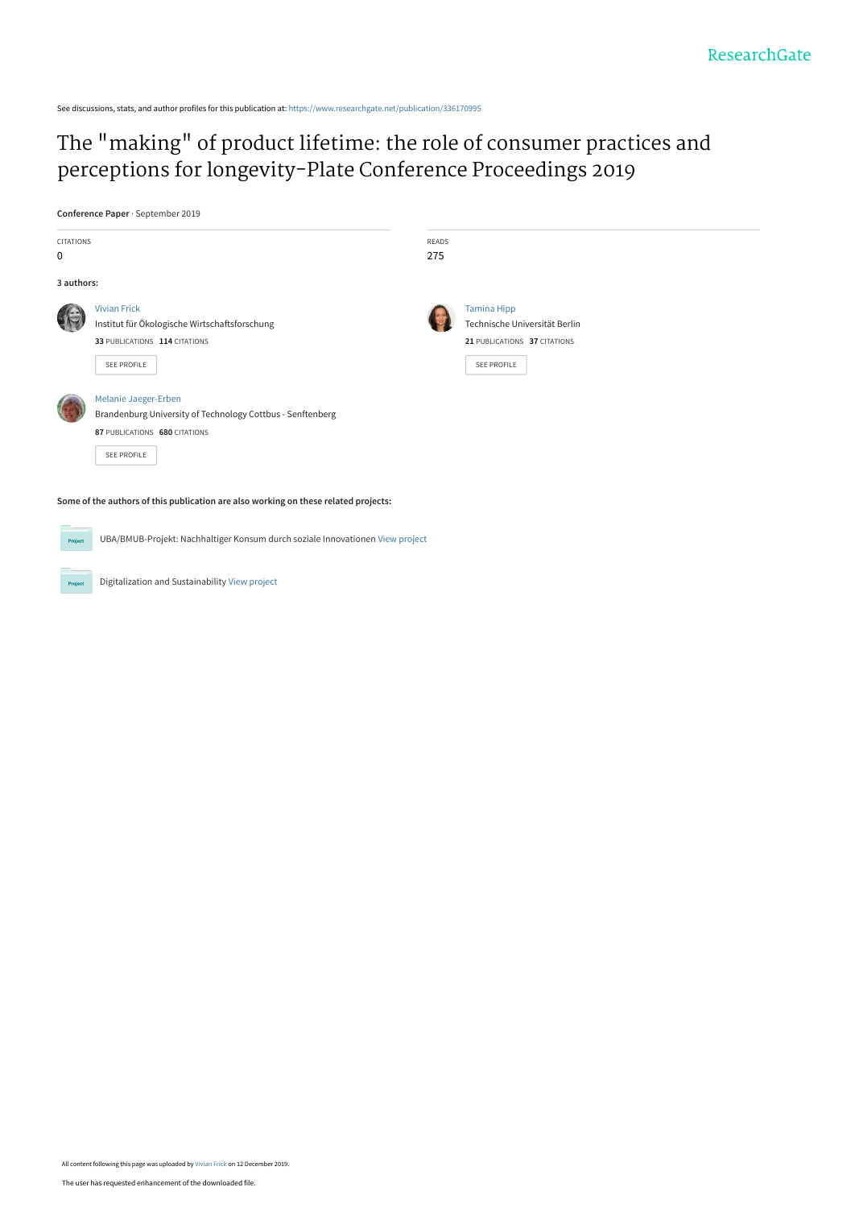See discussions, stats, and author profiles for this publication at: [https://www.researchgate.net/publication/336170995](https://www.researchgate.net/publication/336170995_The_making_of_product_lifetime_the_role_of_consumer_practices_and_perceptions_for_longevity-Plate_Conference_Proceedings_2019?enrichId=rgreq-2e8f76791fa24e6fde89b0df9cf4a804-XXX&enrichSource=Y292ZXJQYWdlOzMzNjE3MDk5NTtBUzo4MzUyNzI3MDI5NTE0MjZAMTU3NjE1NTkzOTcwNw%3D%3D&el=1_x_2&_esc=publicationCoverPdf)

# [The "making" of product lifetime: the role of consumer practices and](https://www.researchgate.net/publication/336170995_The_making_of_product_lifetime_the_role_of_consumer_practices_and_perceptions_for_longevity-Plate_Conference_Proceedings_2019?enrichId=rgreq-2e8f76791fa24e6fde89b0df9cf4a804-XXX&enrichSource=Y292ZXJQYWdlOzMzNjE3MDk5NTtBUzo4MzUyNzI3MDI5NTE0MjZAMTU3NjE1NTkzOTcwNw%3D%3D&el=1_x_3&_esc=publicationCoverPdf) perceptions for longevity-Plate Conference Proceedings 2019

**Conference Paper** · September 2019

| <b>CITATIONS</b><br>0                                                               |                                                                                                                                           | <b>READS</b><br>275 |                                                                                                    |  |  |  |  |  |  |  |  |
|-------------------------------------------------------------------------------------|-------------------------------------------------------------------------------------------------------------------------------------------|---------------------|----------------------------------------------------------------------------------------------------|--|--|--|--|--|--|--|--|
| 3 authors:                                                                          |                                                                                                                                           |                     |                                                                                                    |  |  |  |  |  |  |  |  |
|                                                                                     | <b>Vivian Frick</b><br>Institut für Ökologische Wirtschaftsforschung<br>33 PUBLICATIONS 114 CITATIONS<br>SEE PROFILE                      |                     | <b>Tamina Hipp</b><br>Technische Universität Berlin<br>21 PUBLICATIONS 37 CITATIONS<br>SEE PROFILE |  |  |  |  |  |  |  |  |
|                                                                                     | Melanie Jaeger-Erben<br>Brandenburg University of Technology Cottbus - Senftenberg<br>87 PUBLICATIONS 680 CITATIONS<br><b>SEE PROFILE</b> |                     |                                                                                                    |  |  |  |  |  |  |  |  |
| Some of the authors of this publication are also working on these related projects: |                                                                                                                                           |                     |                                                                                                    |  |  |  |  |  |  |  |  |

UBA/BMUB-Projekt: Nachhaltiger Konsum durch soziale Innovationen [View project](https://www.researchgate.net/project/UBA-BMUB-Projekt-Nachhaltiger-Konsum-durch-soziale-Innovationen?enrichId=rgreq-2e8f76791fa24e6fde89b0df9cf4a804-XXX&enrichSource=Y292ZXJQYWdlOzMzNjE3MDk5NTtBUzo4MzUyNzI3MDI5NTE0MjZAMTU3NjE1NTkzOTcwNw%3D%3D&el=1_x_9&_esc=publicationCoverPdf)

Digitalization and Sustainability [View project](https://www.researchgate.net/project/Digitalization-and-Sustainability?enrichId=rgreq-2e8f76791fa24e6fde89b0df9cf4a804-XXX&enrichSource=Y292ZXJQYWdlOzMzNjE3MDk5NTtBUzo4MzUyNzI3MDI5NTE0MjZAMTU3NjE1NTkzOTcwNw%3D%3D&el=1_x_9&_esc=publicationCoverPdf)

Pro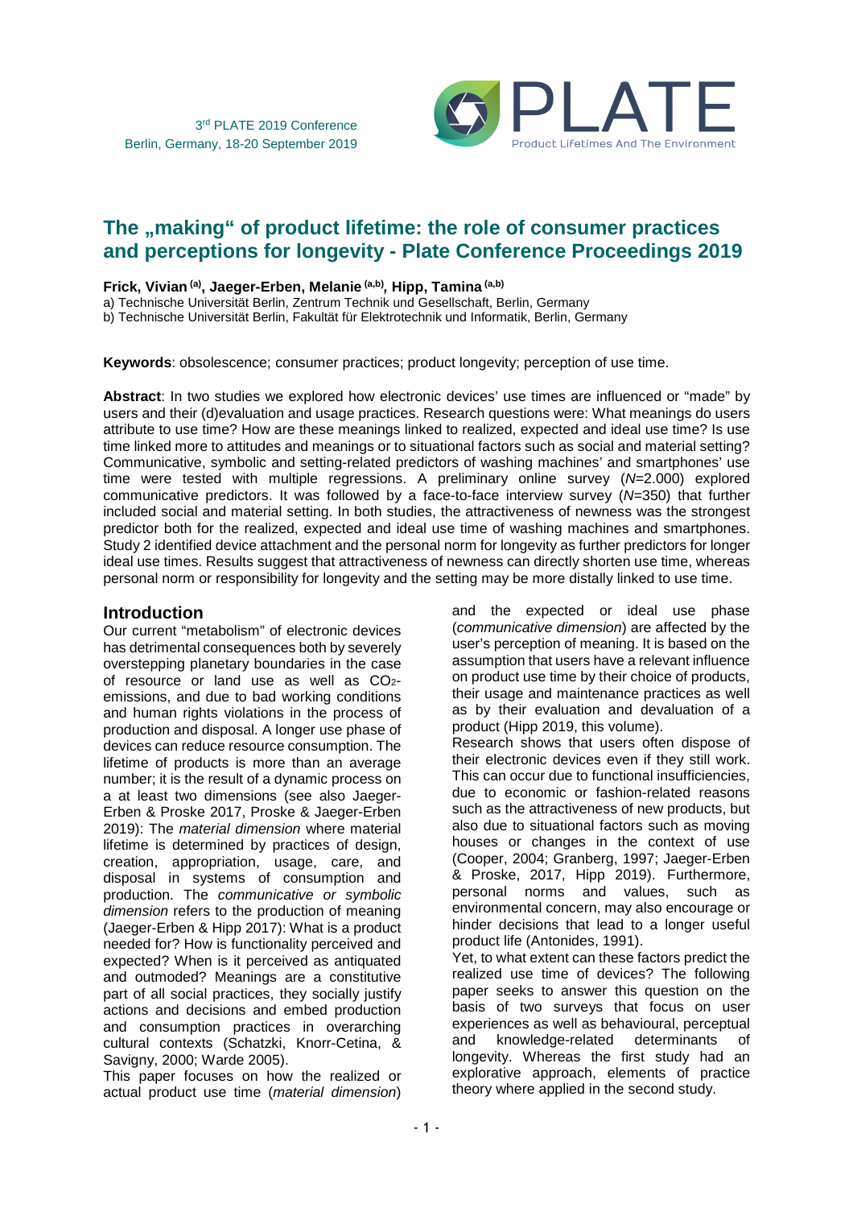

## The **"making"** of product lifetime: the role of consumer practices **and perceptions for longevity - Plate Conference Proceedings 2019**

#### **Frick, Vivian (a), Jaeger-Erben, Melanie (a,b) , Hipp, Tamina (a,b)**

a) Technische Universität Berlin, Zentrum Technik und Gesellschaft, Berlin, Germany

b) Technische Universität Berlin, Fakultät für Elektrotechnik und Informatik, Berlin, Germany

**Keywords**: obsolescence; consumer practices; product longevity; perception of use time.

**Abstract**: In two studies we explored how electronic devices' use times are influenced or "made" by users and their (d)evaluation and usage practices. Research questions were: What meanings do users attribute to use time? How are these meanings linked to realized, expected and ideal use time? Is use time linked more to attitudes and meanings or to situational factors such as social and material setting? Communicative, symbolic and setting-related predictors of washing machines' and smartphones' use time were tested with multiple regressions. A preliminary online survey (N=2.000) explored communicative predictors. It was followed by a face-to-face interview survey  $(N=350)$  that further included social and material setting. In both studies, the attractiveness of newness was the strongest predictor both for the realized, expected and ideal use time of washing machines and smartphones. Study 2 identified device attachment and the personal norm for longevity as further predictors for longer ideal use times. Results suggest that attractiveness of newness can directly shorten use time, whereas personal norm or responsibility for longevity and the setting may be more distally linked to use time.

#### **Introduction**

Our current "metabolism" of electronic devices has detrimental consequences both by severely overstepping planetary boundaries in the case of resource or land use as well as  $CO<sub>2</sub>$ emissions, and due to bad working conditions and human rights violations in the process of production and disposal. A longer use phase of devices can reduce resource consumption. The lifetime of products is more than an average number; it is the result of a dynamic process on a at least two dimensions (see also Jaeger-Erben & Proske 2017, Proske & Jaeger-Erben 2019): The material dimension where material lifetime is determined by practices of design, creation, appropriation, usage, care, and disposal in systems of consumption and production. The communicative or symbolic dimension refers to the production of meaning (Jaeger-Erben & Hipp 2017): What is a product needed for? How is functionality perceived and expected? When is it perceived as antiquated and outmoded? Meanings are a constitutive part of all social practices, they socially justify actions and decisions and embed production and consumption practices in overarching cultural contexts (Schatzki, Knorr-Cetina, & Savigny, 2000; Warde 2005).

This paper focuses on how the realized or actual product use time (material dimension) and the expected or ideal use phase (communicative dimension) are affected by the user's perception of meaning. It is based on the assumption that users have a relevant influence on product use time by their choice of products, their usage and maintenance practices as well as by their evaluation and devaluation of a product (Hipp 2019, this volume).

Research shows that users often dispose of their electronic devices even if they still work. This can occur due to functional insufficiencies, due to economic or fashion-related reasons such as the attractiveness of new products, but also due to situational factors such as moving houses or changes in the context of use (Cooper, 2004; Granberg, 1997; Jaeger-Erben & Proske, 2017, Hipp 2019). Furthermore, personal norms and values, such as environmental concern, may also encourage or hinder decisions that lead to a longer useful product life (Antonides, 1991).

Yet, to what extent can these factors predict the realized use time of devices? The following paper seeks to answer this question on the basis of two surveys that focus on user experiences as well as behavioural, perceptual and knowledge-related determinants of longevity. Whereas the first study had an explorative approach, elements of practice theory where applied in the second study.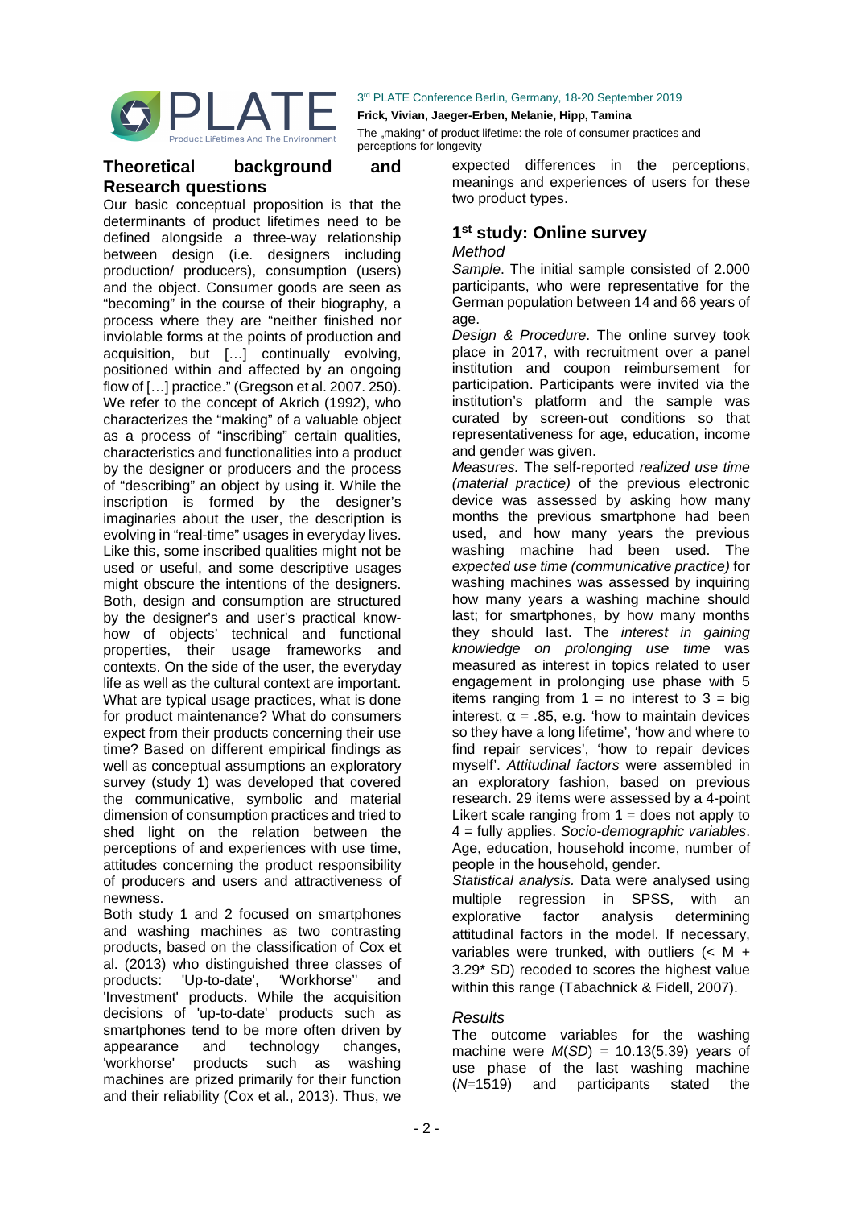

**Frick, Vivian, Jaeger-Erben, Melanie, Hipp, Tamina** 

The "making" of product lifetime: the role of consumer practices and perceptions for longevity

## **Theoretical background and Research questions**

Our basic conceptual proposition is that the determinants of product lifetimes need to be defined alongside a three-way relationship between design (i.e. designers including production/ producers), consumption (users) and the object. Consumer goods are seen as "becoming" in the course of their biography, a process where they are "neither finished nor inviolable forms at the points of production and acquisition, but […] continually evolving, positioned within and affected by an ongoing flow of […] practice." (Gregson et al. 2007. 250). We refer to the concept of Akrich (1992), who characterizes the "making" of a valuable object as a process of "inscribing" certain qualities, characteristics and functionalities into a product by the designer or producers and the process of "describing" an object by using it. While the inscription is formed by the designer's imaginaries about the user, the description is evolving in "real-time" usages in everyday lives. Like this, some inscribed qualities might not be used or useful, and some descriptive usages might obscure the intentions of the designers. Both, design and consumption are structured by the designer's and user's practical knowhow of objects' technical and functional properties, their usage frameworks and contexts. On the side of the user, the everyday life as well as the cultural context are important. What are typical usage practices, what is done for product maintenance? What do consumers expect from their products concerning their use time? Based on different empirical findings as well as conceptual assumptions an exploratory survey (study 1) was developed that covered the communicative, symbolic and material dimension of consumption practices and tried to shed light on the relation between the perceptions of and experiences with use time, attitudes concerning the product responsibility of producers and users and attractiveness of newness.

Both study 1 and 2 focused on smartphones and washing machines as two contrasting products, based on the classification of Cox et al. (2013) who distinguished three classes of products: 'Up-to-date', 'Workhorse'' and 'Investment' products. While the acquisition decisions of 'up-to-date' products such as smartphones tend to be more often driven by appearance and technology changes, 'workhorse' products such as washing machines are prized primarily for their function and their reliability (Cox et al., 2013). Thus, we

expected differences in the perceptions, meanings and experiences of users for these two product types.

## **1 st study: Online survey**

#### **Method**

Sample. The initial sample consisted of 2.000 participants, who were representative for the German population between 14 and 66 years of age

Design & Procedure. The online survey took place in 2017, with recruitment over a panel institution and coupon reimbursement for participation. Participants were invited via the institution's platform and the sample was curated by screen-out conditions so that representativeness for age, education, income and gender was given.

Measures. The self-reported realized use time (material practice) of the previous electronic device was assessed by asking how many months the previous smartphone had been used, and how many years the previous washing machine had been used. The expected use time (communicative practice) for washing machines was assessed by inquiring how many years a washing machine should last; for smartphones, by how many months they should last. The *interest in gaining* knowledge on prolonging use time was measured as interest in topics related to user engagement in prolonging use phase with 5 items ranging from  $1 = no$  interest to  $3 = big$ interest,  $\alpha = .85$ , e.g. 'how to maintain devices so they have a long lifetime', 'how and where to find repair services', 'how to repair devices myself'. Attitudinal factors were assembled in an exploratory fashion, based on previous research. 29 items were assessed by a 4-point Likert scale ranging from  $1 =$  does not apply to 4 = fully applies. Socio-demographic variables. Age, education, household income, number of people in the household, gender.

Statistical analysis. Data were analysed using multiple regression in SPSS, with an explorative factor analysis determining attitudinal factors in the model. If necessary, variables were trunked, with outliers  $(< M +$ 3.29\* SD) recoded to scores the highest value within this range (Tabachnick & Fidell, 2007).

## **Results**

The outcome variables for the washing machine were  $M(SD) = 10.13(5.39)$  years of use phase of the last washing machine (N=1519) and participants stated the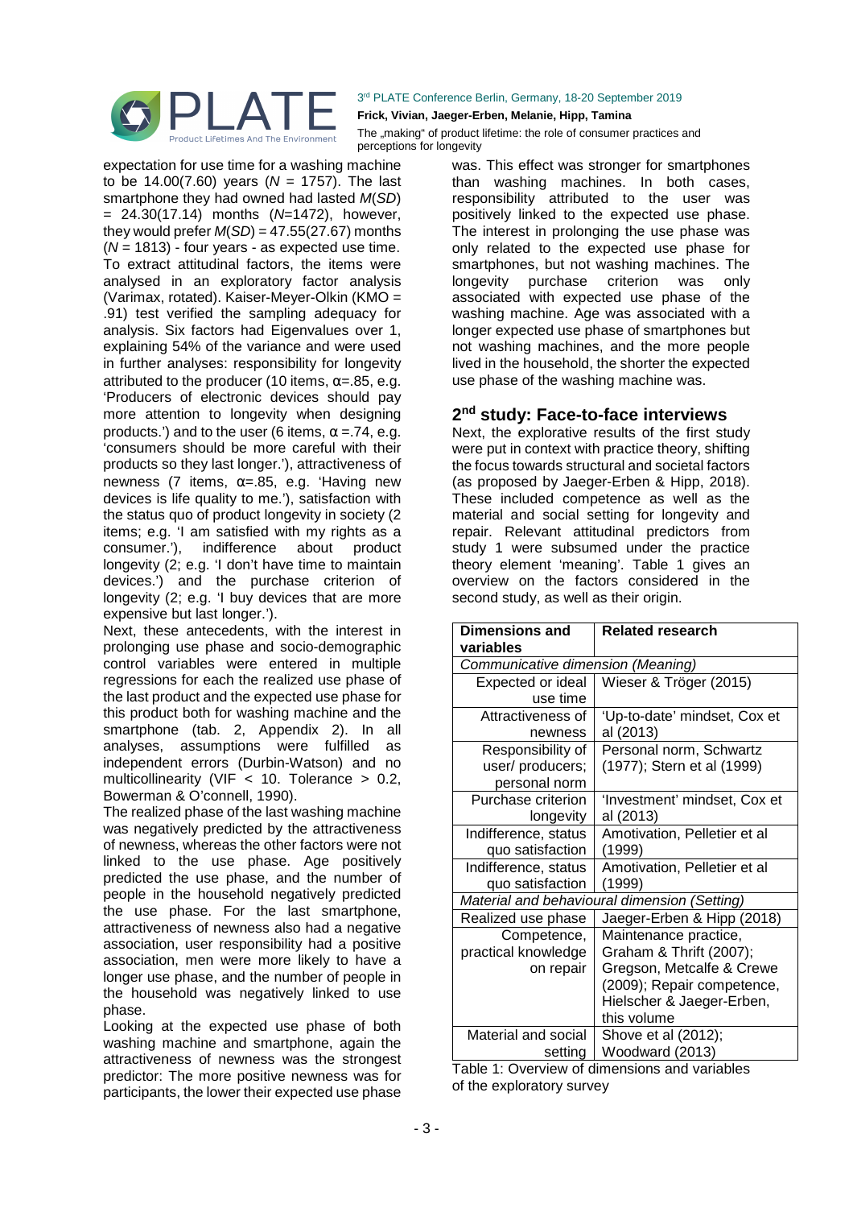

expectation for use time for a washing machine to be 14.00(7.60) years ( $N = 1757$ ). The last smartphone they had owned had lasted M(SD)  $= 24.30(17.14)$  months (N=1472), however, they would prefer  $M(SD) = 47.55(27.67)$  months  $(N = 1813)$  - four years - as expected use time. To extract attitudinal factors, the items were analysed in an exploratory factor analysis (Varimax, rotated). Kaiser-Meyer-Olkin (KMO = .91) test verified the sampling adequacy for analysis. Six factors had Eigenvalues over 1, explaining 54% of the variance and were used in further analyses: responsibility for longevity attributed to the producer (10 items,  $\alpha = .85$ , e.g. 'Producers of electronic devices should pay more attention to longevity when designing products.') and to the user (6 items,  $\alpha$  = 74, e.g. 'consumers should be more careful with their products so they last longer.'), attractiveness of newness (7 items,  $α=0.85$ , e.g. 'Having new devices is life quality to me.'), satisfaction with the status quo of product longevity in society (2 items; e.g. 'I am satisfied with my rights as a consumer.'), indifference about product longevity (2; e.g. 'I don't have time to maintain devices.') and the purchase criterion of longevity (2; e.g. 'I buy devices that are more expensive but last longer.').

Next, these antecedents, with the interest in prolonging use phase and socio-demographic control variables were entered in multiple regressions for each the realized use phase of the last product and the expected use phase for this product both for washing machine and the smartphone (tab. 2, Appendix 2). In all analyses, assumptions were fulfilled as independent errors (Durbin-Watson) and no multicollinearity (VIF  $<$  10. Tolerance  $>$  0.2, Bowerman & O'connell, 1990).

The realized phase of the last washing machine was negatively predicted by the attractiveness of newness, whereas the other factors were not linked to the use phase. Age positively predicted the use phase, and the number of people in the household negatively predicted the use phase. For the last smartphone, attractiveness of newness also had a negative association, user responsibility had a positive association, men were more likely to have a longer use phase, and the number of people in the household was negatively linked to use phase.

Looking at the expected use phase of both washing machine and smartphone, again the attractiveness of newness was the strongest predictor: The more positive newness was for participants, the lower their expected use phase

3<sup>rd</sup> PLATE Conference Berlin, Germany, 18-20 September 2019 **Frick, Vivian, Jaeger-Erben, Melanie, Hipp, Tamina** 

The "making" of product lifetime: the role of consumer practices and perceptions for longevity

> was. This effect was stronger for smartphones than washing machines. In both cases, responsibility attributed to the user was positively linked to the expected use phase. The interest in prolonging the use phase was only related to the expected use phase for smartphones, but not washing machines. The longevity purchase criterion was only associated with expected use phase of the washing machine. Age was associated with a longer expected use phase of smartphones but not washing machines, and the more people lived in the household, the shorter the expected use phase of the washing machine was.

## **2 nd study: Face-to-face interviews**

Next, the explorative results of the first study were put in context with practice theory, shifting the focus towards structural and societal factors (as proposed by Jaeger-Erben & Hipp, 2018). These included competence as well as the material and social setting for longevity and repair. Relevant attitudinal predictors from study 1 were subsumed under the practice theory element 'meaning'. Table 1 gives an overview on the factors considered in the second study, as well as their origin.

| <b>Dimensions and</b><br>variables | <b>Related research</b>                      |
|------------------------------------|----------------------------------------------|
| Communicative dimension (Meaning)  |                                              |
| Expected or ideal                  | Wieser & Tröger (2015)                       |
| use time                           |                                              |
| Attractiveness of                  | 'Up-to-date' mindset, Cox et                 |
| newness                            | al (2013)                                    |
| Responsibility of                  | Personal norm, Schwartz                      |
| user/producers;                    | (1977); Stern et al (1999)                   |
| personal norm                      |                                              |
| Purchase criterion                 | 'Investment' mindset, Cox et                 |
| longevity                          | al (2013)                                    |
| Indifference, status               | Amotivation, Pelletier et al                 |
| quo satisfaction                   | (1999)                                       |
| Indifference, status               | Amotivation, Pelletier et al                 |
| quo satisfaction                   | (1999)                                       |
|                                    | Material and behavioural dimension (Setting) |
| Realized use phase                 | Jaeger-Erben & Hipp (2018)                   |
| Competence,                        | Maintenance practice,                        |
| practical knowledge                | Graham & Thrift (2007);                      |
| on repair                          | Gregson, Metcalfe & Crewe                    |
|                                    | (2009); Repair competence,                   |
|                                    | Hielscher & Jaeger-Erben,                    |
|                                    | this volume                                  |
| Material and social                | Shove et al (2012);                          |
| setting                            | Woodward (2013)                              |

Table 1: Overview of dimensions and variables of the exploratory survey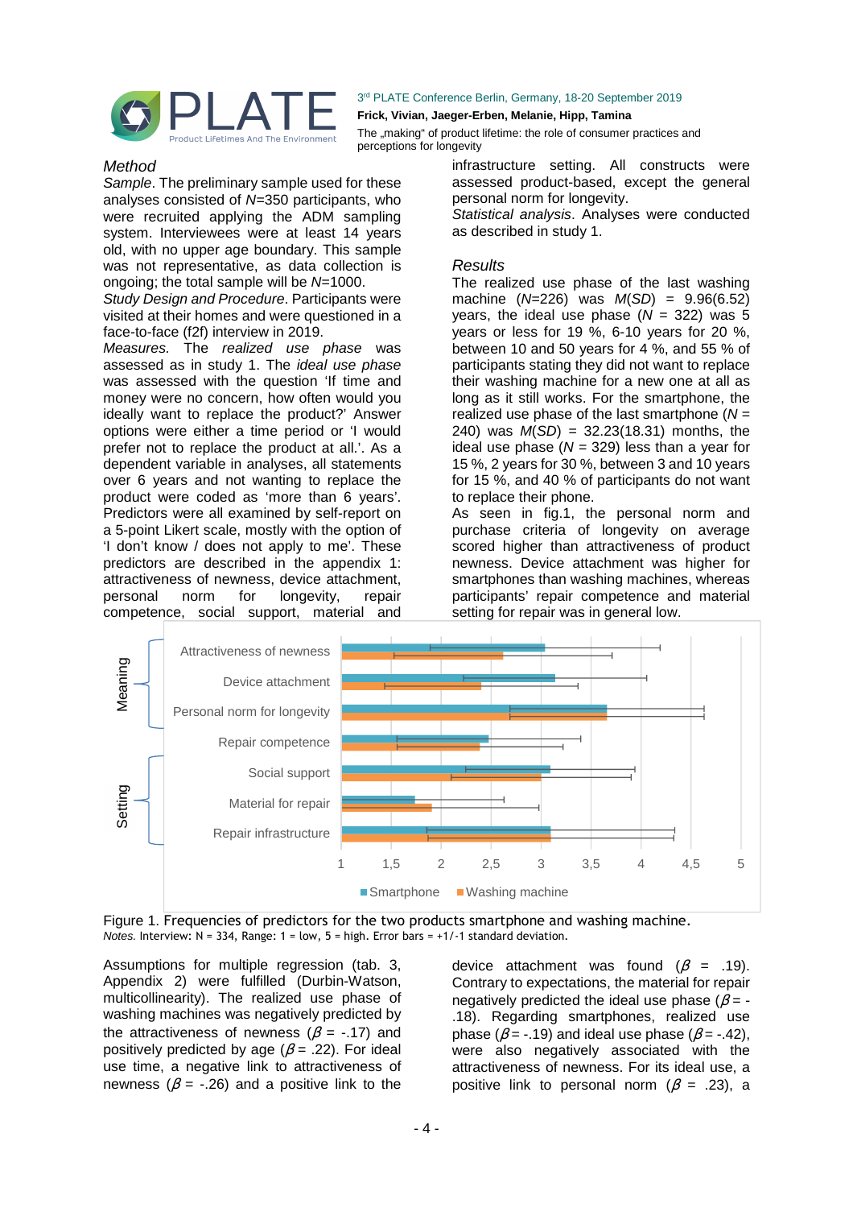

**Frick, Vivian, Jaeger-Erben, Melanie, Hipp, Tamina** 

The "making" of product lifetime: the role of consumer practices and perceptions for longevity

#### Method

Sample. The preliminary sample used for these analyses consisted of  $N=350$  participants, who were recruited applying the ADM sampling system. Interviewees were at least 14 years old, with no upper age boundary. This sample was not representative, as data collection is ongoing; the total sample will be N=1000.

Study Design and Procedure. Participants were visited at their homes and were questioned in a face-to-face (f2f) interview in 2019.

Measures. The realized use phase was assessed as in study 1. The ideal use phase was assessed with the question 'If time and money were no concern, how often would you ideally want to replace the product?' Answer options were either a time period or 'I would prefer not to replace the product at all.'. As a dependent variable in analyses, all statements over 6 years and not wanting to replace the product were coded as 'more than 6 years'. Predictors were all examined by self-report on a 5-point Likert scale, mostly with the option of 'I don't know / does not apply to me'. These predictors are described in the appendix 1: attractiveness of newness, device attachment, personal norm for longevity, repair competence, social support, material and

infrastructure setting. All constructs were assessed product-based, except the general personal norm for longevity.

Statistical analysis. Analyses were conducted as described in study 1.

#### **Results**

The realized use phase of the last washing machine  $(N=226)$  was  $M(SD) = 9.96(6.52)$ years, the ideal use phase  $(N = 322)$  was 5 years or less for 19 %, 6-10 years for 20 %, between 10 and 50 years for 4 %, and 55 % of participants stating they did not want to replace their washing machine for a new one at all as long as it still works. For the smartphone, the realized use phase of the last smartphone  $(N =$ 240) was  $M(SD) = 32.23(18.31)$  months, the ideal use phase  $(N = 329)$  less than a year for 15 %, 2 years for 30 %, between 3 and 10 years for 15 %, and 40 % of participants do not want to replace their phone.

As seen in fig.1, the personal norm and purchase criteria of longevity on average scored higher than attractiveness of product newness. Device attachment was higher for smartphones than washing machines, whereas participants' repair competence and material setting for repair was in general low.



Figure 1. Frequencies of predictors for the two products smartphone and washing machine. Notes. Interview: N = 334, Range: 1 = low, 5 = high. Error bars = +1/-1 standard deviation.

Assumptions for multiple regression (tab. 3, Appendix 2) were fulfilled (Durbin-Watson, multicollinearity). The realized use phase of washing machines was negatively predicted by the attractiveness of newness ( $\beta$  = -.17) and positively predicted by age ( $\beta$  = .22). For ideal use time, a negative link to attractiveness of newness ( $\beta$  = -.26) and a positive link to the

device attachment was found  $(\beta = .19)$ . Contrary to expectations, the material for repair negatively predicted the ideal use phase ( $\beta$  = -.18). Regarding smartphones, realized use phase ( $\beta$  = -.19) and ideal use phase ( $\beta$  = -.42), were also negatively associated with the attractiveness of newness. For its ideal use, a positive link to personal norm  $(\beta = .23)$ , a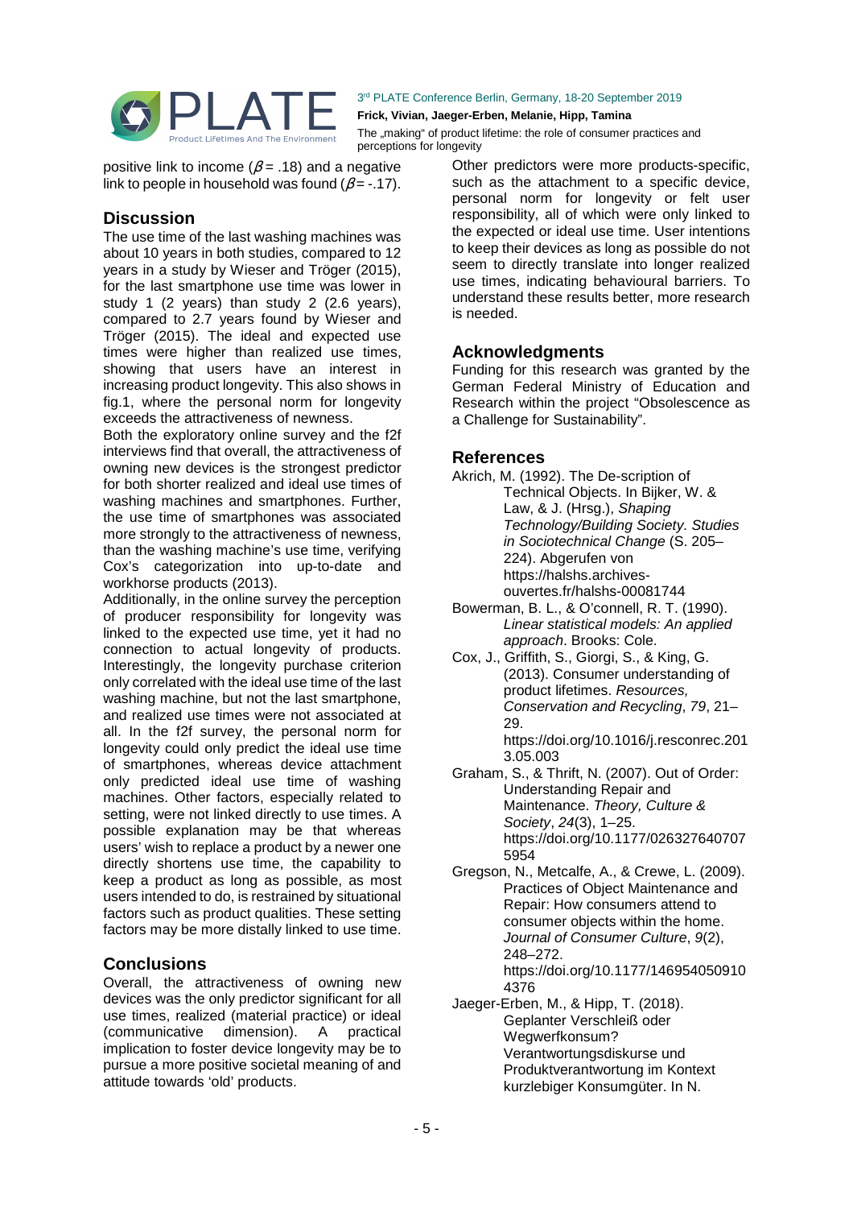

#### **Frick, Vivian, Jaeger-Erben, Melanie, Hipp, Tamina**

The "making" of product lifetime: the role of consumer practices and perceptions for longevity

positive link to income ( $\beta$  = .18) and a negative link to people in household was found ( $\beta$  = -.17).

## **Discussion**

The use time of the last washing machines was about 10 years in both studies, compared to 12 years in a study by Wieser and Tröger (2015), for the last smartphone use time was lower in study 1 (2 years) than study 2 (2.6 years), compared to 2.7 years found by Wieser and Tröger (2015). The ideal and expected use times were higher than realized use times, showing that users have an interest in increasing product longevity. This also shows in fig.1, where the personal norm for longevity exceeds the attractiveness of newness.

Both the exploratory online survey and the f2f interviews find that overall, the attractiveness of owning new devices is the strongest predictor for both shorter realized and ideal use times of washing machines and smartphones. Further, the use time of smartphones was associated more strongly to the attractiveness of newness, than the washing machine's use time, verifying Cox's categorization into up-to-date and workhorse products (2013).

Additionally, in the online survey the perception of producer responsibility for longevity was linked to the expected use time, yet it had no connection to actual longevity of products. Interestingly, the longevity purchase criterion only correlated with the ideal use time of the last washing machine, but not the last smartphone, and realized use times were not associated at all. In the f2f survey, the personal norm for longevity could only predict the ideal use time of smartphones, whereas device attachment only predicted ideal use time of washing machines. Other factors, especially related to setting, were not linked directly to use times. A possible explanation may be that whereas users' wish to replace a product by a newer one directly shortens use time, the capability to keep a product as long as possible, as most users intended to do, is restrained by situational factors such as product qualities. These setting factors may be more distally linked to use time.

## **Conclusions**

Overall, the attractiveness of owning new devices was the only predictor significant for all use times, realized (material practice) or ideal<br>(communicative dimension). A practical (communicative dimension). A practical implication to foster device longevity may be to pursue a more positive societal meaning of and attitude towards 'old' products.

Other predictors were more products-specific, such as the attachment to a specific device, personal norm for longevity or felt user responsibility, all of which were only linked to the expected or ideal use time. User intentions to keep their devices as long as possible do not seem to directly translate into longer realized use times, indicating behavioural barriers. To understand these results better, more research is needed.

## **Acknowledgments**

Funding for this research was granted by the German Federal Ministry of Education and Research within the project "Obsolescence as a Challenge for Sustainability".

### **References**

- Akrich, M. (1992). The De-scription of Technical Objects. In Bijker, W. & Law, & J. (Hrsg.), Shaping Technology/Building Society. Studies in Sociotechnical Change (S. 205– 224). Abgerufen von https://halshs.archivesouvertes.fr/halshs-00081744
- Bowerman, B. L., & O'connell, R. T. (1990). Linear statistical models: An applied approach. Brooks: Cole.
- Cox, J., Griffith, S., Giorgi, S., & King, G. (2013). Consumer understanding of product lifetimes. Resources, Conservation and Recycling, 79, 21– 29. https://doi.org/10.1016/j.resconrec.201

3.05.003 Graham, S., & Thrift, N. (2007). Out of Order:

- Understanding Repair and Maintenance. Theory, Culture & Society, 24(3), 1–25. https://doi.org/10.1177/026327640707 5954
- Gregson, N., Metcalfe, A., & Crewe, L. (2009). Practices of Object Maintenance and Repair: How consumers attend to consumer objects within the home. Journal of Consumer Culture, 9(2), 248–272. https://doi.org/10.1177/146954050910 4376
- Jaeger-Erben, M., & Hipp, T. (2018). Geplanter Verschleiß oder Wegwerfkonsum? Verantwortungsdiskurse und Produktverantwortung im Kontext kurzlebiger Konsumgüter. In N.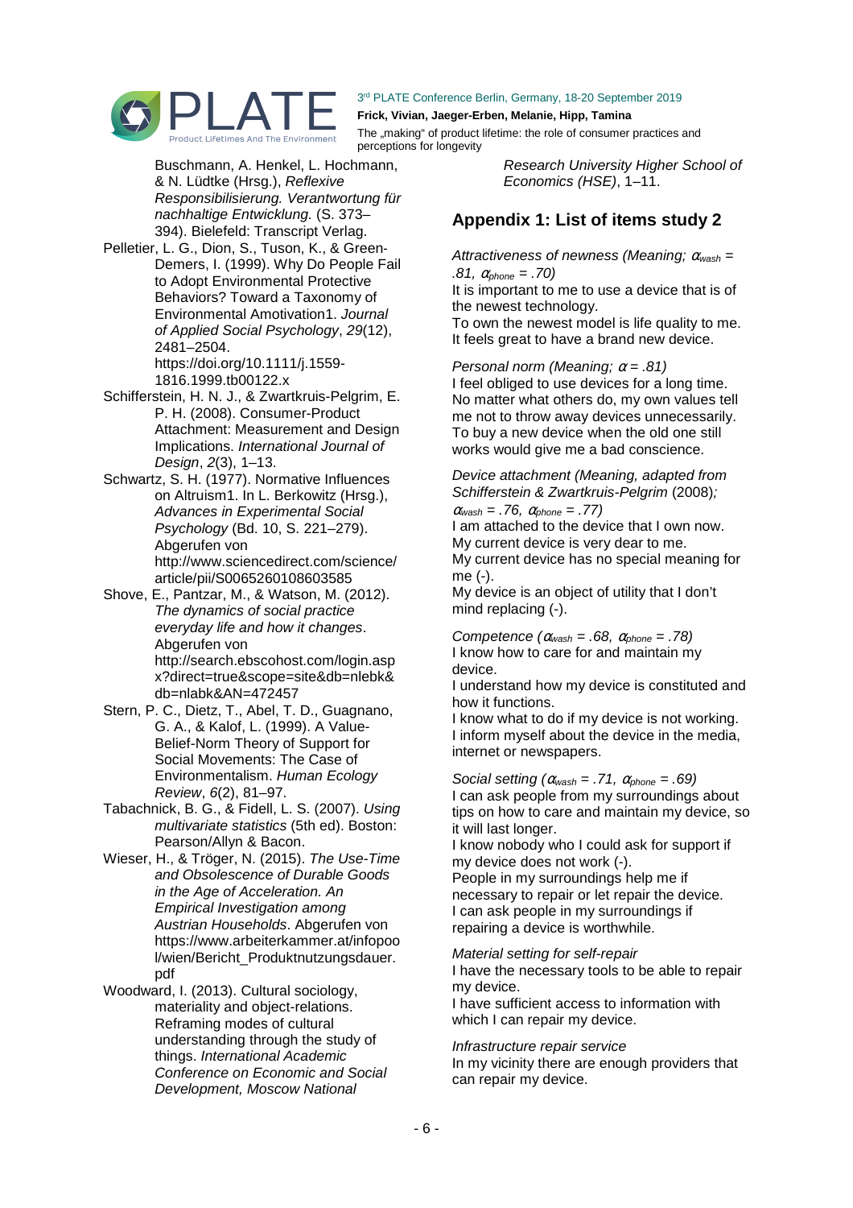

**Frick, Vivian, Jaeger-Erben, Melanie, Hipp, Tamina** 

The "making" of product lifetime: the role of consumer practices and perceptions for longevity

Buschmann, A. Henkel, L. Hochmann, & N. Lüdtke (Hrsg.), Reflexive Responsibilisierung. Verantwortung für nachhaltige Entwicklung. (S. 373– 394). Bielefeld: Transcript Verlag.

Pelletier, L. G., Dion, S., Tuson, K., & Green‐ Demers, I. (1999). Why Do People Fail to Adopt Environmental Protective Behaviors? Toward a Taxonomy of Environmental Amotivation1. Journal of Applied Social Psychology, 29(12), 2481–2504.

https://doi.org/10.1111/j.1559- 1816.1999.tb00122.x

- Schifferstein, H. N. J., & Zwartkruis-Pelgrim, E. P. H. (2008). Consumer-Product Attachment: Measurement and Design Implications. International Journal of Design, 2(3), 1–13.
- Schwartz, S. H. (1977). Normative Influences on Altruism1. In L. Berkowitz (Hrsg.), Advances in Experimental Social Psychology (Bd. 10, S. 221–279). Abgerufen von http://www.sciencedirect.com/science/ article/pii/S0065260108603585
- Shove, E., Pantzar, M., & Watson, M. (2012). The dynamics of social practice everyday life and how it changes. Abgerufen von http://search.ebscohost.com/login.asp x?direct=true&scope=site&db=nlebk& db=nlabk&AN=472457
- Stern, P. C., Dietz, T., Abel, T. D., Guagnano, G. A., & Kalof, L. (1999). A Value-Belief-Norm Theory of Support for Social Movements: The Case of Environmentalism. Human Ecology Review, 6(2), 81–97.
- Tabachnick, B. G., & Fidell, L. S. (2007). Using multivariate statistics (5th ed). Boston: Pearson/Allyn & Bacon.
- Wieser, H., & Tröger, N. (2015). The Use-Time and Obsolescence of Durable Goods in the Age of Acceleration. An Empirical Investigation among Austrian Households. Abgerufen von https://www.arbeiterkammer.at/infopoo l/wien/Bericht\_Produktnutzungsdauer. pdf

Woodward, I. (2013). Cultural sociology, materiality and object-relations. Reframing modes of cultural understanding through the study of things. International Academic Conference on Economic and Social Development, Moscow National

Research University Higher School of Economics (HSE), 1–11.

## **Appendix 1: List of items study 2**

Attractiveness of newness (Meaning;  $\alpha_{\text{wash}} =$ .81,  $\alpha_{\text{phone}} = .70$ )

It is important to me to use a device that is of the newest technology.

To own the newest model is life quality to me. It feels great to have a brand new device.

Personal norm (Meaning;  $\alpha = .81$ ) I feel obliged to use devices for a long time. No matter what others do, my own values tell me not to throw away devices unnecessarily. To buy a new device when the old one still works would give me a bad conscience.

Device attachment (Meaning, adapted from Schifferstein & Zwartkruis-Pelgrim (2008);

 $\alpha_{\text{wash}} = .76$ ,  $\alpha_{\text{phone}} = .77$ )

I am attached to the device that I own now. My current device is very dear to me. My current device has no special meaning for

me (-).

My device is an object of utility that I don't mind replacing (-).

Competence  $(\alpha_{\text{wash}} = .68, \alpha_{\text{ohone}} = .78)$ I know how to care for and maintain my device.

I understand how my device is constituted and how it functions.

I know what to do if my device is not working. I inform myself about the device in the media, internet or newspapers.

Social setting ( $\alpha_{\text{wash}} = .71$ ,  $\alpha_{\text{phone}} = .69$ ) I can ask people from my surroundings about tips on how to care and maintain my device, so it will last longer.

I know nobody who I could ask for support if my device does not work (-). People in my surroundings help me if necessary to repair or let repair the device. I can ask people in my surroundings if repairing a device is worthwhile.

Material setting for self-repair

I have the necessary tools to be able to repair my device.

I have sufficient access to information with which I can repair my device.

#### Infrastructure repair service

In my vicinity there are enough providers that can repair my device.